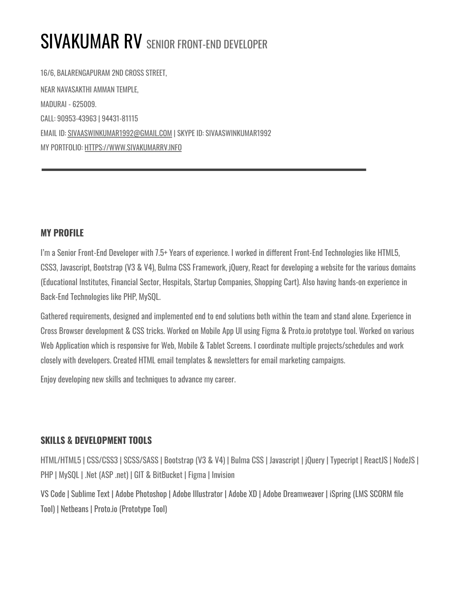# SIVAKUMAR RV SENIOR FRONT-END DEVELOPER

16/6, BALARENGAPURAM 2ND CROSS STREET, NEAR NAVASAKTHI AMMAN TEMPLE, MADURAI - 625009. CALL: 90953-43963 | 94431-81115 EMAIL ID: [SIVAASWINKUMAR1992@GMAIL.COM](mailto:SIVAASWINKUMAR1992@GMAIL.COM) | SKYPE ID: SIVAASWINKUMAR1992 MY PORTFOLIO: [HTTPS://WWW.SIVAKUMARRV.INFO](https://www.sivakumarrv.info)

## **MY PROFILE**

I'm a Senior Front-End Developer with 7.5+ Years of experience. I worked in different Front-End Technologies like HTML5, CSS3, Javascript, Bootstrap (V3 & V4), Bulma CSS Framework, jQuery, React for developing a website for the various domains (Educational Institutes, Financial Sector, Hospitals, Startup Companies, Shopping Cart). Also having hands-on experience in Back-End Technologies like PHP, MySQL.

Gathered requirements, designed and implemented end to end solutions both within the team and stand alone. Experience in Cross Browser development & CSS tricks. Worked on Mobile App UI using Figma & Proto.io prototype tool. Worked on various Web Application which is responsive for Web, Mobile & Tablet Screens. I coordinate multiple projects/schedules and work closely with developers. Created HTML email templates & newsletters for email marketing campaigns.

Enjoy developing new skills and techniques to advance my career.

## **SKILLS & DEVELOPMENT TOOLS**

HTML/HTML5 | CSS/CSS3 | SCSS/SASS | Bootstrap (V3 & V4) | Bulma CSS | Javascript | jQuery | Typecript | ReactJS | NodeJS | PHP | MySQL | .Net (ASP .net) | GIT & BitBucket | Figma | Invision

VS Code | Sublime Text | Adobe Photoshop | Adobe Illustrator | Adobe XD | Adobe Dreamweaver | iSpring (LMS SCORM file Tool) | Netbeans | Proto.io (Prototype Tool)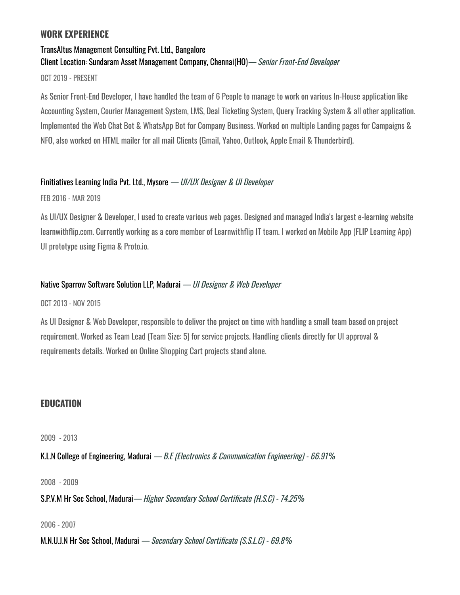## **WORK EXPERIENCE**

# TransAltus Management Consulting Pvt. Ltd., Bangalore Client Location: Sundaram Asset Management Company, Chennai(HO)— Senior Front-End Developer

OCT 2019 - PRESENT

As Senior Front-End Developer, I have handled the team of 6 People to manage to work on various In-House application like Accounting System, Courier Management System, LMS, Deal Ticketing System, Query Tracking System & all other application. Implemented the Web Chat Bot & WhatsApp Bot for Company Business. Worked on multiple Landing pages for Campaigns & NFO, also worked on HTML mailer for all mail Clients (Gmail, Yahoo, Outlook, Apple Email & Thunderbird).

### Finitiatives Learning India Pvt. Ltd., Mysore — UI/UX Designer & UI Developer

FEB 2016 - MAR 2019

As UI/UX Designer & Developer, I used to create various web pages. Designed and managed India's largest e-learning website learnwithflip.com. Currently working as a core member of Learnwithflip IT team. I worked on Mobile App (FLIP Learning App) UI prototype using Figma & Proto.io.

## Native Sparrow Software Solution LLP, Madurai — UI Designer & Web Developer

OCT 2013 - NOV 2015

As UI Designer & Web Developer, responsible to deliver the project on time with handling a small team based on project requirement. Worked as Team Lead (Team Size: 5) for service projects. Handling clients directly for UI approval & requirements details. Worked on Online Shopping Cart projects stand alone.

# **EDUCATION**

2009 - 2013

K.L.N College of Engineering, Madurai — B.F. (Electronics & Communication Engineering) - 66.91%

2008 - 2009

S.P.V.M Hr Sec School, Madurai— Higher Secondary School Certificate (H.S.C) - 74.25%

2006 - 2007

M.N.U.J.N Hr Sec School, Madurai — Secondary School Certificate (S.S.L.C) - 69.8%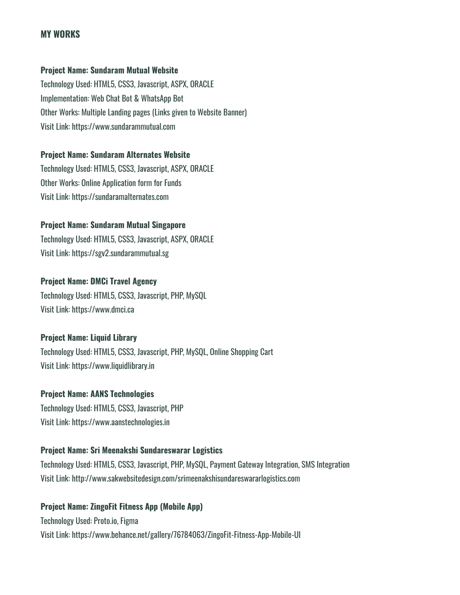## **MY WORKS**

#### **Project Name: Sundaram Mutual Website**

Technology Used: HTML5, CSS3, Javascript, ASPX, ORACLE Implementation: Web Chat Bot & WhatsApp Bot Other Works: Multiple Landing pages (Links given to Website Banner) Visit Link: https://www.sundarammutual.com

#### **Project Name: Sundaram Alternates Website**

Technology Used: HTML5, CSS3, Javascript, ASPX, ORACLE Other Works: Online Application form for Funds Visit Link: https://sundaramalternates.com

#### **Project Name: Sundaram Mutual Singapore**

Technology Used: HTML5, CSS3, Javascript, ASPX, ORACLE Visit Link: https://sgv2.sundarammutual.sg

## **Project Name: DMCi Travel Agency**

Technology Used: HTML5, CSS3, Javascript, PHP, MySQL Visit Link: https://www.dmci.ca

### **Project Name: Liquid Library**

Technology Used: HTML5, CSS3, Javascript, PHP, MySQL, Online Shopping Cart Visit Link: https://www.liquidlibrary.in

#### **Project Name: AANS Technologies**

Technology Used: HTML5, CSS3, Javascript, PHP Visit Link: https://www.aanstechnologies.in

### **Project Name: Sri Meenakshi Sundareswarar Logistics**

Technology Used: HTML5, CSS3, Javascript, PHP, MySQL, Payment Gateway Integration, SMS Integration Visit Link: http://www.sakwebsitedesign.com/srimeenakshisundareswararlogistics.com

### **Project Name: ZingoFit Fitness App (Mobile App)**

Technology Used: Proto.io, Figma Visit Link: https://www.behance.net/gallery/76784063/ZingoFit-Fitness-App-Mobile-UI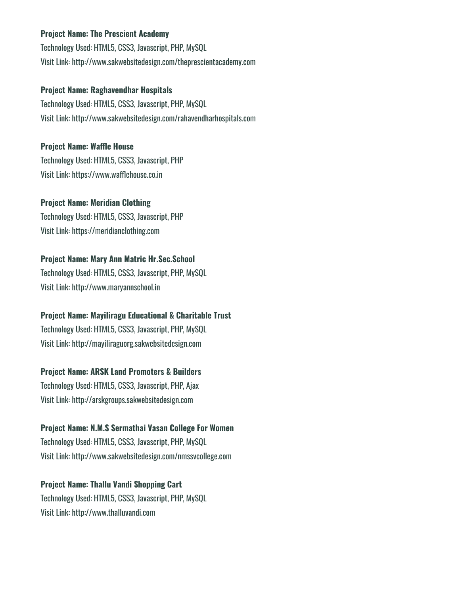### **Project Name: The Prescient Academy**

Technology Used: HTML5, CSS3, Javascript, PHP, MySQL Visit Link: http://www.sakwebsitedesign.com/theprescientacademy.com

## **Project Name: Raghavendhar Hospitals**

Technology Used: HTML5, CSS3, Javascript, PHP, MySQL Visit Link: http://www.sakwebsitedesign.com/rahavendharhospitals.com

## **Project Name: Waffle House**

Technology Used: HTML5, CSS3, Javascript, PHP Visit Link: https://www.wafflehouse.co.in

## **Project Name: Meridian Clothing**

Technology Used: HTML5, CSS3, Javascript, PHP Visit Link: https://meridianclothing.com

## **Project Name: Mary Ann Matric Hr.Sec.School**

Technology Used: HTML5, CSS3, Javascript, PHP, MySQL Visit Link: http://www.maryannschool.in

## **Project Name: Mayiliragu Educational & Charitable Trust**

Technology Used: HTML5, CSS3, Javascript, PHP, MySQL Visit Link: http://mayiliraguorg.sakwebsitedesign.com

## **Project Name: ARSK Land Promoters & Builders**

Technology Used: HTML5, CSS3, Javascript, PHP, Ajax Visit Link: http://arskgroups.sakwebsitedesign.com

## **Project Name: N.M.S Sermathai Vasan College For Women** Technology Used: HTML5, CSS3, Javascript, PHP, MySQL

Visit Link: http://www.sakwebsitedesign.com/nmssvcollege.com

## **Project Name: Thallu Vandi Shopping Cart**

Technology Used: HTML5, CSS3, Javascript, PHP, MySQL Visit Link: http://www.thalluvandi.com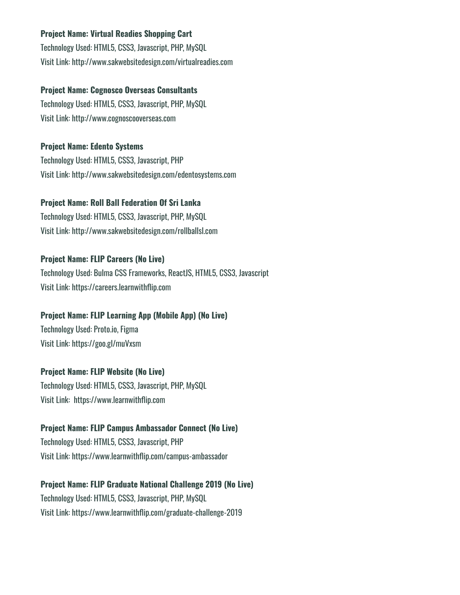## **Project Name: Virtual Readies Shopping Cart**

Technology Used: HTML5, CSS3, Javascript, PHP, MySQL Visit Link: http://www.sakwebsitedesign.com/virtualreadies.com

#### **Project Name: Cognosco Overseas Consultants**

Technology Used: HTML5, CSS3, Javascript, PHP, MySQL Visit Link: http://www.cognoscooverseas.com

#### **Project Name: Edento Systems**

Technology Used: HTML5, CSS3, Javascript, PHP Visit Link: http://www.sakwebsitedesign.com/edentosystems.com

#### **Project Name: Roll Ball Federation Of Sri Lanka**

Technology Used: HTML5, CSS3, Javascript, PHP, MySQL Visit Link: http://www.sakwebsitedesign.com/rollballsl.com

### **Project Name: FLIP Careers (No Live)**

Technology Used: Bulma CSS Frameworks, ReactJS, HTML5, CSS3, Javascript Visit Link: https://careers.learnwithflip.com

### **Project Name: FLIP Learning App (Mobile App) (No Live)**

Technology Used: Proto.io, Figma Visit Link: https://goo.gl/muVxsm

### **Project Name: FLIP Website (No Live)**

Technology Used: HTML5, CSS3, Javascript, PHP, MySQL Visit Link: https://www.learnwithflip.com

#### **Project Name: FLIP Campus Ambassador Connect (No Live)**

Technology Used: HTML5, CSS3, Javascript, PHP Visit Link: https://www.learnwithflip.com/campus-ambassador

### **Project Name: FLIP Graduate National Challenge 2019 (No Live)**

Technology Used: HTML5, CSS3, Javascript, PHP, MySQL Visit Link: https://www.learnwithflip.com/graduate-challenge-2019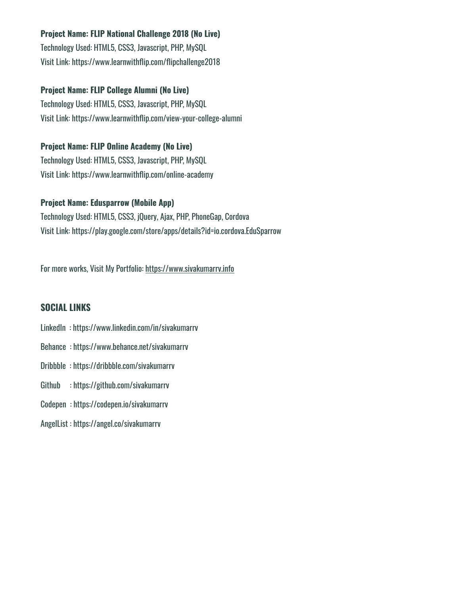## **Project Name: FLIP National Challenge 2018 (No Live)**

Technology Used: HTML5, CSS3, Javascript, PHP, MySQL Visit Link: https://www.learnwithflip.com/flipchallenge2018

## **Project Name: FLIP College Alumni (No Live)**

Technology Used: HTML5, CSS3, Javascript, PHP, MySQL Visit Link: https://www.learnwithflip.com/view-your-college-alumni

## **Project Name: FLIP Online Academy (No Live)**

Technology Used: HTML5, CSS3, Javascript, PHP, MySQL Visit Link: https://www.learnwithflip.com/online-academy

## **Project Name: Edusparrow (Mobile App)**

Technology Used: HTML5, CSS3, jQuery, Ajax, PHP, PhoneGap, Cordova Visit Link: https://play.google.com/store/apps/details?id=io.cordova.EduSparrow

For more works, Visit My Portfolio: https://www.sivakumarrv.info

# **SOCIAL LINKS**

- LinkedIn : https://www.linkedin.com/in/sivakumarrv
- Behance : https://www.behance.net/sivakumarrv
- Dribbble : https://dribbble.com/sivakumarrv
- Github : https://github.com/sivakumarrv
- Codepen : https://codepen.io/sivakumarrv
- AngelList : https://angel.co/sivakumarrv